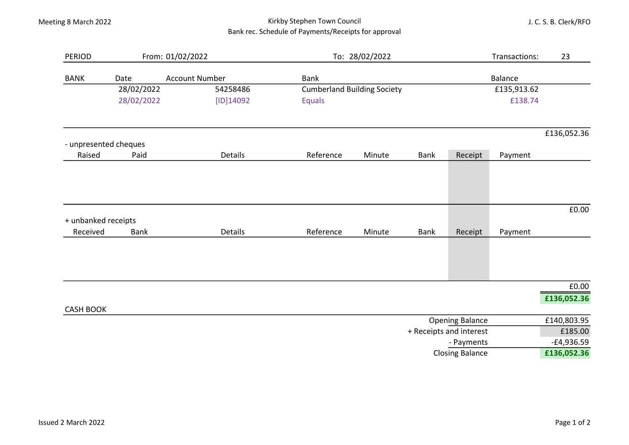## Meeting 8 March 2022 **Kirkby Stephen Town Council** Kirkby Stephen Town Council Bank rec. Schedule of Payments/Receipts for approval

J. C. S. B. Clerk/RFO

| <b>PERIOD</b>       |                               | From: 01/02/2022      | To: 28/02/2022                     |        |                               |                        | Transactions: | 23                      |  |
|---------------------|-------------------------------|-----------------------|------------------------------------|--------|-------------------------------|------------------------|---------------|-------------------------|--|
| <b>BANK</b>         | <b>Account Number</b><br>Date |                       | <b>Bank</b>                        |        | <b>Balance</b><br>£135,913.62 |                        |               |                         |  |
|                     | 28/02/2022                    | 54258486<br>[ID]14092 | <b>Cumberland Building Society</b> |        |                               |                        |               |                         |  |
|                     | 28/02/2022                    |                       | <b>Equals</b>                      |        |                               |                        |               | £138.74                 |  |
|                     |                               |                       |                                    |        |                               |                        |               | £136,052.36             |  |
|                     | - unpresented cheques         |                       |                                    |        |                               |                        |               |                         |  |
| Raised              | Paid                          | Details               | Reference                          | Minute | Bank                          | Receipt                | Payment       |                         |  |
|                     |                               |                       |                                    |        |                               |                        |               |                         |  |
| + unbanked receipts |                               |                       |                                    |        |                               |                        |               | £0.00                   |  |
| Received            | <b>Bank</b>                   | Details               | Reference                          | Minute | <b>Bank</b>                   | Receipt                | Payment       |                         |  |
|                     |                               |                       |                                    |        |                               |                        |               |                         |  |
|                     |                               |                       |                                    |        |                               |                        |               | £0.00                   |  |
| <b>CASH BOOK</b>    |                               |                       |                                    |        |                               |                        |               | £136,052.36             |  |
|                     |                               |                       |                                    |        |                               | <b>Opening Balance</b> |               | £140,803.95             |  |
|                     |                               |                       | + Receipts and interest            |        |                               |                        |               |                         |  |
|                     | - Payments                    |                       |                                    |        |                               |                        |               | £185.00<br>$-E4,936.59$ |  |
|                     | <b>Closing Balance</b>        |                       |                                    |        |                               |                        |               |                         |  |